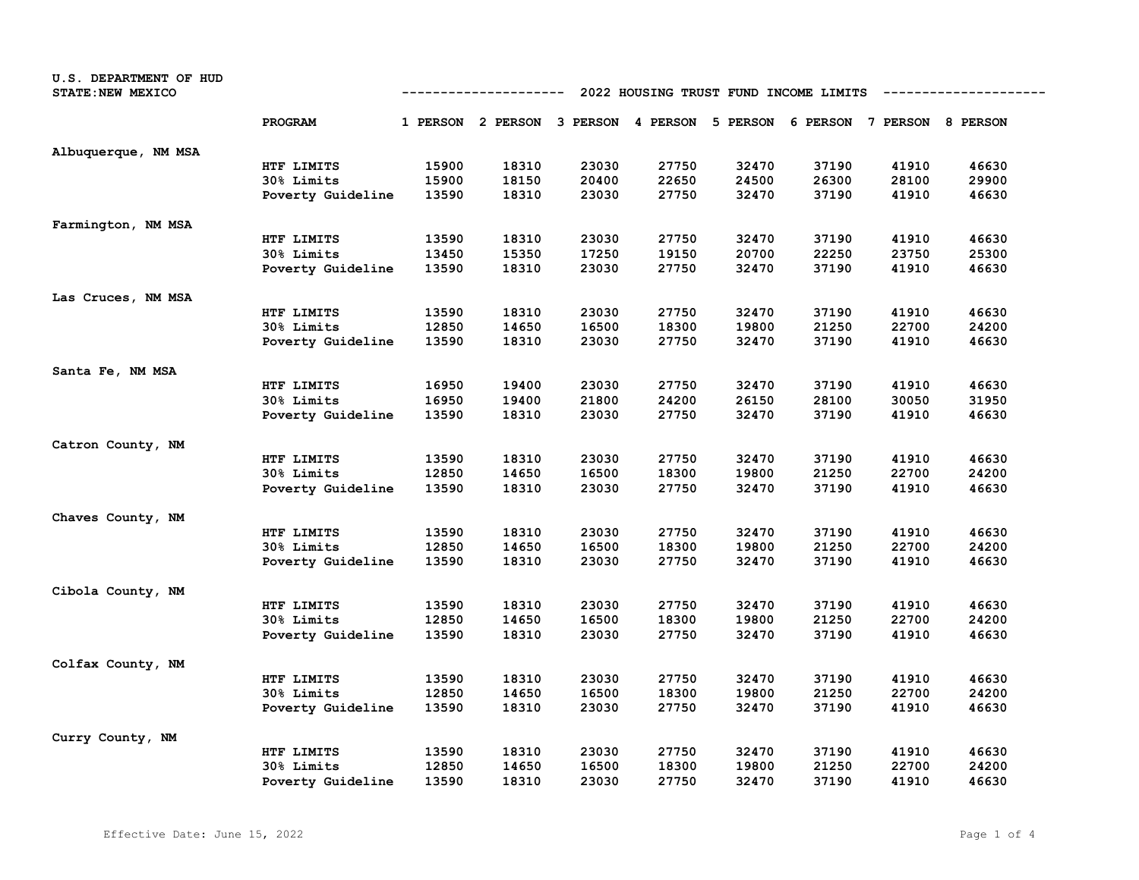| U.S. DEPARTMENT OF HUD<br><b>STATE: NEW MEXICO</b> |                   | 2022 HOUSING TRUST FUND INCOME LIMITS<br>---------- |                                                                         |       |       |       |       |       |       |
|----------------------------------------------------|-------------------|-----------------------------------------------------|-------------------------------------------------------------------------|-------|-------|-------|-------|-------|-------|
|                                                    | PROGRAM           |                                                     | 1 PERSON 2 PERSON 3 PERSON 4 PERSON 5 PERSON 6 PERSON 7 PERSON 8 PERSON |       |       |       |       |       |       |
| Albuquerque, NM MSA                                |                   |                                                     |                                                                         |       |       |       |       |       |       |
|                                                    | HTF LIMITS        | 15900                                               | 18310                                                                   | 23030 | 27750 | 32470 | 37190 | 41910 | 46630 |
|                                                    | 30% Limits        | 15900                                               | 18150                                                                   | 20400 | 22650 | 24500 | 26300 | 28100 | 29900 |
|                                                    | Poverty Guideline | 13590                                               | 18310                                                                   | 23030 | 27750 | 32470 | 37190 | 41910 | 46630 |
| Farmington, NM MSA                                 |                   |                                                     |                                                                         |       |       |       |       |       |       |
|                                                    | HTF LIMITS        | 13590                                               | 18310                                                                   | 23030 | 27750 | 32470 | 37190 | 41910 | 46630 |
|                                                    | 30% Limits        | 13450                                               | 15350                                                                   | 17250 | 19150 | 20700 | 22250 | 23750 | 25300 |
|                                                    | Poverty Guideline | 13590                                               | 18310                                                                   | 23030 | 27750 | 32470 | 37190 | 41910 | 46630 |
| Las Cruces, NM MSA                                 |                   |                                                     |                                                                         |       |       |       |       |       |       |
|                                                    | HTF LIMITS        | 13590                                               | 18310                                                                   | 23030 | 27750 | 32470 | 37190 | 41910 | 46630 |
|                                                    | 30% Limits        | 12850                                               | 14650                                                                   | 16500 | 18300 | 19800 | 21250 | 22700 | 24200 |
|                                                    | Poverty Guideline | 13590                                               | 18310                                                                   | 23030 | 27750 | 32470 | 37190 | 41910 | 46630 |
| Santa Fe, NM MSA                                   |                   |                                                     |                                                                         |       |       |       |       |       |       |
|                                                    | HTF LIMITS        | 16950                                               | 19400                                                                   | 23030 | 27750 | 32470 | 37190 | 41910 | 46630 |
|                                                    | 30% Limits        | 16950                                               | 19400                                                                   | 21800 | 24200 | 26150 | 28100 | 30050 | 31950 |
|                                                    | Poverty Guideline | 13590                                               | 18310                                                                   | 23030 | 27750 | 32470 | 37190 | 41910 | 46630 |
| Catron County, NM                                  |                   |                                                     |                                                                         |       |       |       |       |       |       |
|                                                    | HTF LIMITS        | 13590                                               | 18310                                                                   | 23030 | 27750 | 32470 | 37190 | 41910 | 46630 |
|                                                    | 30% Limits        | 12850                                               | 14650                                                                   | 16500 | 18300 | 19800 | 21250 | 22700 | 24200 |
|                                                    | Poverty Guideline | 13590                                               | 18310                                                                   | 23030 | 27750 | 32470 | 37190 | 41910 | 46630 |
| Chaves County, NM                                  |                   |                                                     |                                                                         |       |       |       |       |       |       |
|                                                    | HTF LIMITS        | 13590                                               | 18310                                                                   | 23030 | 27750 | 32470 | 37190 | 41910 | 46630 |
|                                                    | 30% Limits        | 12850                                               | 14650                                                                   | 16500 | 18300 | 19800 | 21250 | 22700 | 24200 |
|                                                    | Poverty Guideline | 13590                                               | 18310                                                                   | 23030 | 27750 | 32470 | 37190 | 41910 | 46630 |
| Cibola County, NM                                  |                   |                                                     |                                                                         |       |       |       |       |       |       |
|                                                    | HTF LIMITS        | 13590                                               | 18310                                                                   | 23030 | 27750 | 32470 | 37190 | 41910 | 46630 |
|                                                    | 30% Limits        | 12850                                               | 14650                                                                   | 16500 | 18300 | 19800 | 21250 | 22700 | 24200 |
|                                                    | Poverty Guideline | 13590                                               | 18310                                                                   | 23030 | 27750 | 32470 | 37190 | 41910 | 46630 |
| Colfax County, NM                                  |                   |                                                     |                                                                         |       |       |       |       |       |       |
|                                                    | HTF LIMITS        | 13590                                               | 18310                                                                   | 23030 | 27750 | 32470 | 37190 | 41910 | 46630 |
|                                                    | 30% Limits        | 12850                                               | 14650                                                                   | 16500 | 18300 | 19800 | 21250 | 22700 | 24200 |
|                                                    | Poverty Guideline | 13590                                               | 18310                                                                   | 23030 | 27750 | 32470 | 37190 | 41910 | 46630 |
| Curry County, NM                                   |                   |                                                     |                                                                         |       |       |       |       |       |       |
|                                                    | HTF LIMITS        | 13590                                               | 18310                                                                   | 23030 | 27750 | 32470 | 37190 | 41910 | 46630 |
|                                                    | 30% Limits        | 12850                                               | 14650                                                                   | 16500 | 18300 | 19800 | 21250 | 22700 | 24200 |
|                                                    | Poverty Guideline | 13590                                               | 18310                                                                   | 23030 | 27750 | 32470 | 37190 | 41910 | 46630 |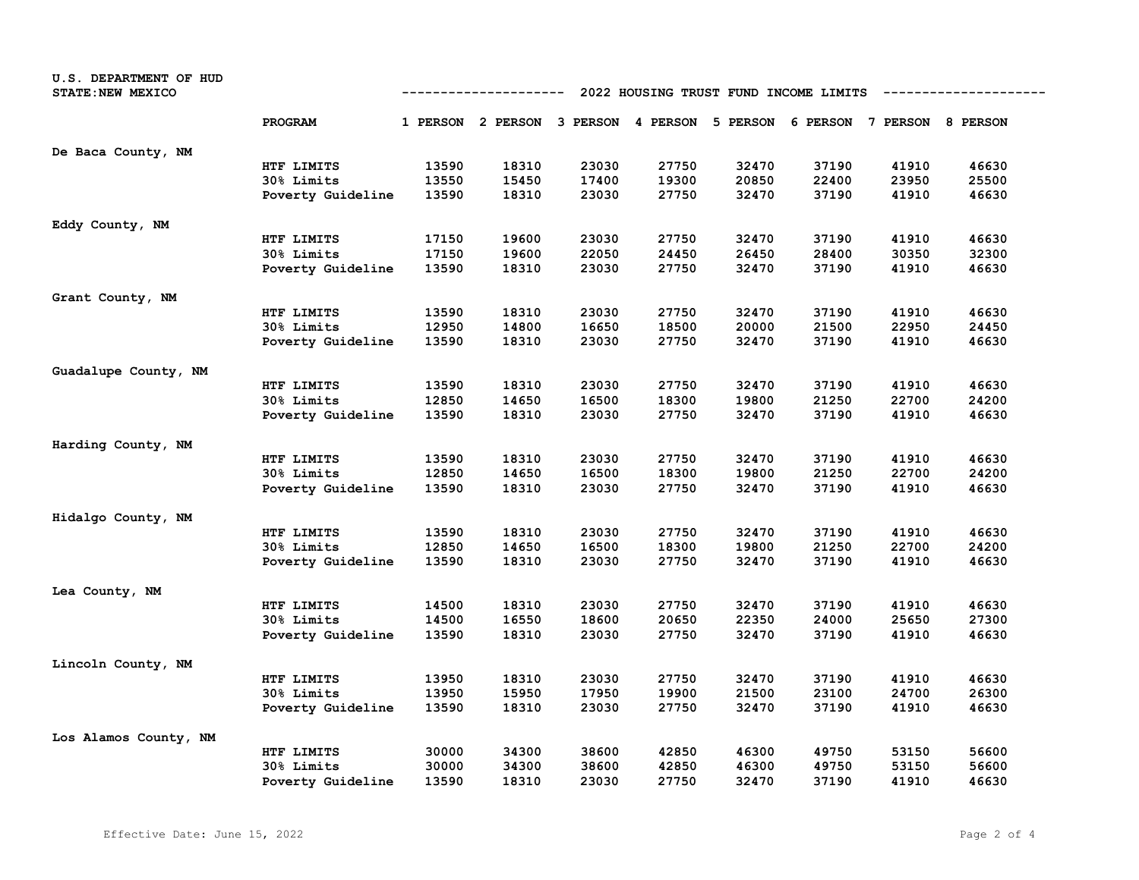| U.S. DEPARTMENT OF HUD<br>STATE: NEW MEXICO |                   | 2022 HOUSING TRUST FUND INCOME LIMITS<br>----------- |       |       |       |       |                                                                         |       |       |
|---------------------------------------------|-------------------|------------------------------------------------------|-------|-------|-------|-------|-------------------------------------------------------------------------|-------|-------|
|                                             | PROGRAM           |                                                      |       |       |       |       | 1 PERSON 2 PERSON 3 PERSON 4 PERSON 5 PERSON 6 PERSON 7 PERSON 8 PERSON |       |       |
| De Baca County, NM                          |                   |                                                      |       |       |       |       |                                                                         |       |       |
|                                             | HTF LIMITS        | 13590                                                | 18310 | 23030 | 27750 | 32470 | 37190                                                                   | 41910 | 46630 |
|                                             | 30% Limits        | 13550                                                | 15450 | 17400 | 19300 | 20850 | 22400                                                                   | 23950 | 25500 |
|                                             | Poverty Guideline | 13590                                                | 18310 | 23030 | 27750 | 32470 | 37190                                                                   | 41910 | 46630 |
| Eddy County, NM                             |                   |                                                      |       |       |       |       |                                                                         |       |       |
|                                             | HTF LIMITS        | 17150                                                | 19600 | 23030 | 27750 | 32470 | 37190                                                                   | 41910 | 46630 |
|                                             | 30% Limits        | 17150                                                | 19600 | 22050 | 24450 | 26450 | 28400                                                                   | 30350 | 32300 |
|                                             | Poverty Guideline | 13590                                                | 18310 | 23030 | 27750 | 32470 | 37190                                                                   | 41910 | 46630 |
| Grant County, NM                            |                   |                                                      |       |       |       |       |                                                                         |       |       |
|                                             | HTF LIMITS        | 13590                                                | 18310 | 23030 | 27750 | 32470 | 37190                                                                   | 41910 | 46630 |
|                                             | 30% Limits        | 12950                                                | 14800 | 16650 | 18500 | 20000 | 21500                                                                   | 22950 | 24450 |
|                                             | Poverty Guideline | 13590                                                | 18310 | 23030 | 27750 | 32470 | 37190                                                                   | 41910 | 46630 |
| Guadalupe County, NM                        |                   |                                                      |       |       |       |       |                                                                         |       |       |
|                                             | HTF LIMITS        | 13590                                                | 18310 | 23030 | 27750 | 32470 | 37190                                                                   | 41910 | 46630 |
|                                             | 30% Limits        | 12850                                                | 14650 | 16500 | 18300 | 19800 | 21250                                                                   | 22700 | 24200 |
|                                             | Poverty Guideline | 13590                                                | 18310 | 23030 | 27750 | 32470 | 37190                                                                   | 41910 | 46630 |
| Harding County, NM                          |                   |                                                      |       |       |       |       |                                                                         |       |       |
|                                             | HTF LIMITS        | 13590                                                | 18310 | 23030 | 27750 | 32470 | 37190                                                                   | 41910 | 46630 |
|                                             | 30% Limits        | 12850                                                | 14650 | 16500 | 18300 | 19800 | 21250                                                                   | 22700 | 24200 |
|                                             | Poverty Guideline | 13590                                                | 18310 | 23030 | 27750 | 32470 | 37190                                                                   | 41910 | 46630 |
| Hidalgo County, NM                          |                   |                                                      |       |       |       |       |                                                                         |       |       |
|                                             | HTF LIMITS        | 13590                                                | 18310 | 23030 | 27750 | 32470 | 37190                                                                   | 41910 | 46630 |
|                                             | 30% Limits        | 12850                                                | 14650 | 16500 | 18300 | 19800 | 21250                                                                   | 22700 | 24200 |
|                                             | Poverty Guideline | 13590                                                | 18310 | 23030 | 27750 | 32470 | 37190                                                                   | 41910 | 46630 |
| Lea County, NM                              |                   |                                                      |       |       |       |       |                                                                         |       |       |
|                                             | HTF LIMITS        | 14500                                                | 18310 | 23030 | 27750 | 32470 | 37190                                                                   | 41910 | 46630 |
|                                             | 30% Limits        | 14500                                                | 16550 | 18600 | 20650 | 22350 | 24000                                                                   | 25650 | 27300 |
|                                             | Poverty Guideline | 13590                                                | 18310 | 23030 | 27750 | 32470 | 37190                                                                   | 41910 | 46630 |
| Lincoln County, NM                          |                   |                                                      |       |       |       |       |                                                                         |       |       |
|                                             | HTF LIMITS        | 13950                                                | 18310 | 23030 | 27750 | 32470 | 37190                                                                   | 41910 | 46630 |
|                                             | 30% Limits        | 13950                                                | 15950 | 17950 | 19900 | 21500 | 23100                                                                   | 24700 | 26300 |
|                                             | Poverty Guideline | 13590                                                | 18310 | 23030 | 27750 | 32470 | 37190                                                                   | 41910 | 46630 |
| Los Alamos County, NM                       |                   |                                                      |       |       |       |       |                                                                         |       |       |
|                                             | HTF LIMITS        | 30000                                                | 34300 | 38600 | 42850 | 46300 | 49750                                                                   | 53150 | 56600 |
|                                             | 30% Limits        | 30000                                                | 34300 | 38600 | 42850 | 46300 | 49750                                                                   | 53150 | 56600 |
|                                             | Poverty Guideline | 13590                                                | 18310 | 23030 | 27750 | 32470 | 37190                                                                   | 41910 | 46630 |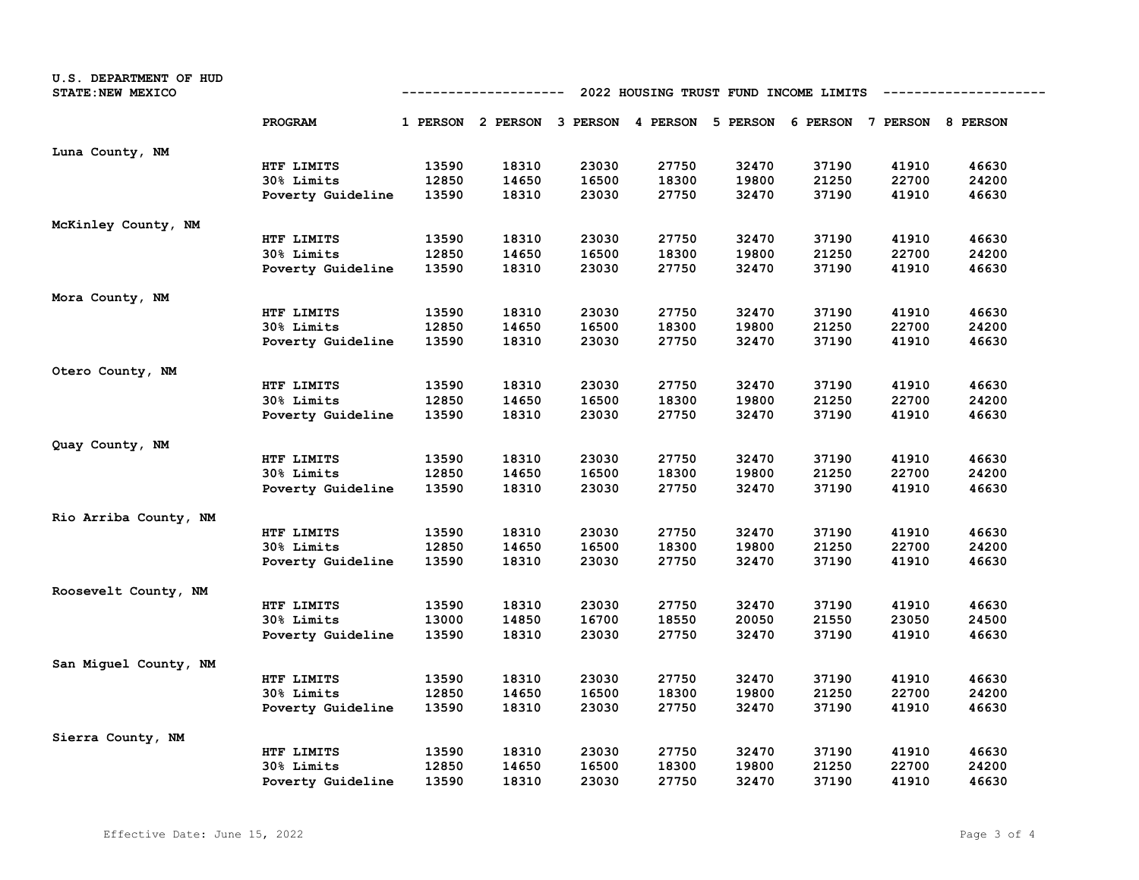| U.S. DEPARTMENT OF HUD<br>STATE: NEW MEXICO |                   | 2022 HOUSING TRUST FUND INCOME LIMITS<br>------------ |                                                                         |       |       |       |       |       |       |
|---------------------------------------------|-------------------|-------------------------------------------------------|-------------------------------------------------------------------------|-------|-------|-------|-------|-------|-------|
|                                             | PROGRAM           |                                                       | 1 PERSON 2 PERSON 3 PERSON 4 PERSON 5 PERSON 6 PERSON 7 PERSON 8 PERSON |       |       |       |       |       |       |
| Luna County, NM                             |                   |                                                       |                                                                         |       |       |       |       |       |       |
|                                             | HTF LIMITS        | 13590                                                 | 18310                                                                   | 23030 | 27750 | 32470 | 37190 | 41910 | 46630 |
|                                             | 30% Limits        | 12850                                                 | 14650                                                                   | 16500 | 18300 | 19800 | 21250 | 22700 | 24200 |
|                                             | Poverty Guideline | 13590                                                 | 18310                                                                   | 23030 | 27750 | 32470 | 37190 | 41910 | 46630 |
| McKinley County, NM                         |                   |                                                       |                                                                         |       |       |       |       |       |       |
|                                             | HTF LIMITS        | 13590                                                 | 18310                                                                   | 23030 | 27750 | 32470 | 37190 | 41910 | 46630 |
|                                             | 30% Limits        | 12850                                                 | 14650                                                                   | 16500 | 18300 | 19800 | 21250 | 22700 | 24200 |
|                                             | Poverty Guideline | 13590                                                 | 18310                                                                   | 23030 | 27750 | 32470 | 37190 | 41910 | 46630 |
| Mora County, NM                             |                   |                                                       |                                                                         |       |       |       |       |       |       |
|                                             | HTF LIMITS        | 13590                                                 | 18310                                                                   | 23030 | 27750 | 32470 | 37190 | 41910 | 46630 |
|                                             | 30% Limits        | 12850                                                 | 14650                                                                   | 16500 | 18300 | 19800 | 21250 | 22700 | 24200 |
|                                             | Poverty Guideline | 13590                                                 | 18310                                                                   | 23030 | 27750 | 32470 | 37190 | 41910 | 46630 |
| Otero County, NM                            |                   |                                                       |                                                                         |       |       |       |       |       |       |
|                                             | HTF LIMITS        | 13590                                                 | 18310                                                                   | 23030 | 27750 | 32470 | 37190 | 41910 | 46630 |
|                                             | 30% Limits        | 12850                                                 | 14650                                                                   | 16500 | 18300 | 19800 | 21250 | 22700 | 24200 |
|                                             | Poverty Guideline | 13590                                                 | 18310                                                                   | 23030 | 27750 | 32470 | 37190 | 41910 | 46630 |
| Quay County, NM                             |                   |                                                       |                                                                         |       |       |       |       |       |       |
|                                             | HTF LIMITS        | 13590                                                 | 18310                                                                   | 23030 | 27750 | 32470 | 37190 | 41910 | 46630 |
|                                             | 30% Limits        | 12850                                                 | 14650                                                                   | 16500 | 18300 | 19800 | 21250 | 22700 | 24200 |
|                                             | Poverty Guideline | 13590                                                 | 18310                                                                   | 23030 | 27750 | 32470 | 37190 | 41910 | 46630 |
| Rio Arriba County, NM                       |                   |                                                       |                                                                         |       |       |       |       |       |       |
|                                             | HTF LIMITS        | 13590                                                 | 18310                                                                   | 23030 | 27750 | 32470 | 37190 | 41910 | 46630 |
|                                             | 30% Limits        | 12850                                                 | 14650                                                                   | 16500 | 18300 | 19800 | 21250 | 22700 | 24200 |
|                                             | Poverty Guideline | 13590                                                 | 18310                                                                   | 23030 | 27750 | 32470 | 37190 | 41910 | 46630 |
| Roosevelt County, NM                        |                   |                                                       |                                                                         |       |       |       |       |       |       |
|                                             | HTF LIMITS        | 13590                                                 | 18310                                                                   | 23030 | 27750 | 32470 | 37190 | 41910 | 46630 |
|                                             | 30% Limits        | 13000                                                 | 14850                                                                   | 16700 | 18550 | 20050 | 21550 | 23050 | 24500 |
|                                             | Poverty Guideline | 13590                                                 | 18310                                                                   | 23030 | 27750 | 32470 | 37190 | 41910 | 46630 |
| San Miguel County, NM                       |                   |                                                       |                                                                         |       |       |       |       |       |       |
|                                             | HTF LIMITS        | 13590                                                 | 18310                                                                   | 23030 | 27750 | 32470 | 37190 | 41910 | 46630 |
|                                             | 30% Limits        | 12850                                                 | 14650                                                                   | 16500 | 18300 | 19800 | 21250 | 22700 | 24200 |
|                                             | Poverty Guideline | 13590                                                 | 18310                                                                   | 23030 | 27750 | 32470 | 37190 | 41910 | 46630 |
| Sierra County, NM                           |                   |                                                       |                                                                         |       |       |       |       |       |       |
|                                             | HTF LIMITS        | 13590                                                 | 18310                                                                   | 23030 | 27750 | 32470 | 37190 | 41910 | 46630 |
|                                             | 30% Limits        | 12850                                                 | 14650                                                                   | 16500 | 18300 | 19800 | 21250 | 22700 | 24200 |
|                                             | Poverty Guideline | 13590                                                 | 18310                                                                   | 23030 | 27750 | 32470 | 37190 | 41910 | 46630 |